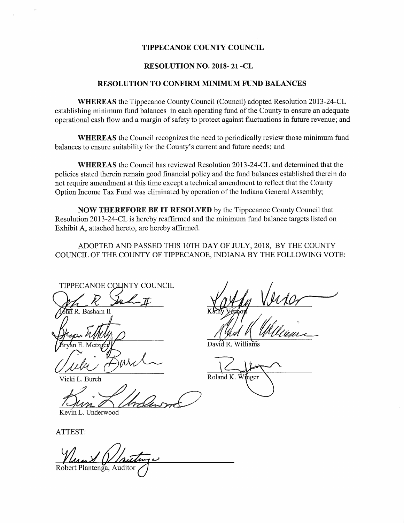## TIPPECANOE COUNTY COUNCIL

## RESOLUTION NO. 2018- 21 -CL

#### RESOLUTION TO CONFIRM NHNIMUM FUND BALANCES

WHEREAS the Tippecanoe County Council (Council) adopted Resolution 2013~24-CL establishing minimum fund balances in each operating fund of the County to ensure an adequate operational cash flow and <sup>a</sup> margin of safety to protect against fluctuations in future revenue; and

WHEREAS the Council recognizes the need to periodically review those minimum fund balances to ensure suitability for the County's current and future needs; and

WHEREAS the Council has reviewed Resolution 2013—24-CL and determined that the policies stated therein remain good financial policy and the fund balances established therein do not require amendment at this time except <sup>a</sup> technical amendment to reflect that the County Option Income Tax Fund was eliminated by operation of the Indiana General Assembly;

NOW THEREFORE BE IT RESOLVED by the Tippecanoe County Council that Resolution 2013-24-CL is hereby reaffirmed and the minimum fund balance targets listed on Exhibit A, attached hereto, are hereby affirmed.

ADOPTED AND PASSED THIS 10TH DAY OF IULY, 2018, BY THE COUNTY COUNCIL OF THE COUNTY OF TIPPECANOE, INDIANA BY THE FOLLOWING VOTE:

TIPPECANOE COUNTY COUNCIL

 $\vec{n}$  R. Basham II

Vicki L. Burch

Kevin L. Underwood

a" Kathy Verson

David R. Williams

 $K$ 

Roland K. Winger  $\setminus$ 

ATTEST:

 $\overline{a}$ Robert Plantenga, Auditor